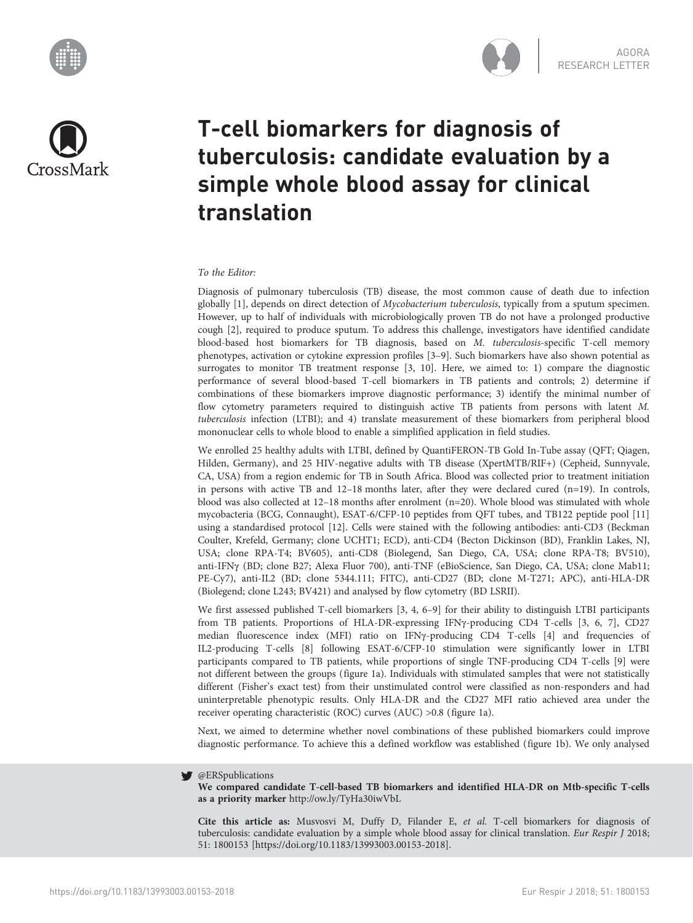





# T-cell biomarkers for diagnosis of tuberculosis: candidate evaluation by a simple whole blood assay for clinical translation

## To the Editor:

Diagnosis of pulmonary tuberculosis (TB) disease, the most common cause of death due to infection globally [[1](#page-2-0)], depends on direct detection of Mycobacterium tuberculosis, typically from a sputum specimen. However, up to half of individuals with microbiologically proven TB do not have a prolonged productive cough [\[2\]](#page-2-0), required to produce sputum. To address this challenge, investigators have identified candidate blood-based host biomarkers for TB diagnosis, based on M. tuberculosis-specific T-cell memory phenotypes, activation or cytokine expression profiles [\[3](#page-3-0)–[9](#page-3-0)]. Such biomarkers have also shown potential as surrogates to monitor TB treatment response [[3, 10](#page-3-0)]. Here, we aimed to: 1) compare the diagnostic performance of several blood-based T-cell biomarkers in TB patients and controls; 2) determine if combinations of these biomarkers improve diagnostic performance; 3) identify the minimal number of flow cytometry parameters required to distinguish active TB patients from persons with latent M. tuberculosis infection (LTBI); and 4) translate measurement of these biomarkers from peripheral blood mononuclear cells to whole blood to enable a simplified application in field studies.

We enrolled 25 healthy adults with LTBI, defined by QuantiFERON-TB Gold In-Tube assay (QFT; Qiagen, Hilden, Germany), and 25 HIV-negative adults with TB disease (XpertMTB/RIF+) (Cepheid, Sunnyvale, CA, USA) from a region endemic for TB in South Africa. Blood was collected prior to treatment initiation in persons with active TB and 12–18 months later, after they were declared cured (n=19). In controls, blood was also collected at 12–18 months after enrolment (n=20). Whole blood was stimulated with whole mycobacteria (BCG, Connaught), ESAT-6/CFP-10 peptides from QFT tubes, and TB122 peptide pool [[11](#page-3-0)] using a standardised protocol [\[12\]](#page-3-0). Cells were stained with the following antibodies: anti-CD3 (Beckman Coulter, Krefeld, Germany; clone UCHT1; ECD), anti-CD4 (Becton Dickinson (BD), Franklin Lakes, NJ, USA; clone RPA-T4; BV605), anti-CD8 (Biolegend, San Diego, CA, USA; clone RPA-T8; BV510), anti-IFNγ (BD; clone B27; Alexa Fluor 700), anti-TNF (eBioScience, San Diego, CA, USA; clone Mab11; PE-Cy7), anti-IL2 (BD; clone 5344.111; FITC), anti-CD27 (BD; clone M-T271; APC), anti-HLA-DR (Biolegend; clone L243; BV421) and analysed by flow cytometry (BD LSRII).

We first assessed published T-cell biomarkers [\[3](#page-3-0), [4, 6](#page-3-0)–[9](#page-3-0)] for their ability to distinguish LTBI participants from TB patients. Proportions of HLA-DR-expressing IFNγ-producing CD4 T-cells [\[3](#page-3-0), [6, 7](#page-3-0)], CD27 median fluorescence index (MFI) ratio on IFNγ-producing CD4 T-cells [\[4](#page-3-0)] and frequencies of IL2-producing T-cells [\[8](#page-3-0)] following ESAT-6/CFP-10 stimulation were significantly lower in LTBI participants compared to TB patients, while proportions of single TNF-producing CD4 T-cells [[9](#page-3-0)] were not different between the groups ([figure 1a](#page-1-0)). Individuals with stimulated samples that were not statistically different (Fisher's exact test) from their unstimulated control were classified as non-responders and had uninterpretable phenotypic results. Only HLA-DR and the CD27 MFI ratio achieved area under the receiver operating characteristic (ROC) curves (AUC) >0.8 [\(figure 1a\)](#page-1-0).

Next, we aimed to determine whether novel combinations of these published biomarkers could improve diagnostic performance. To achieve this a defined workflow was established ([figure 1b](#page-1-0)). We only analysed

#### @ERSpublications v

We compared candidate T-cell-based TB biomarkers and identified HLA-DR on Mtb-specific T-cells as a priority marker <http://ow.ly/TyHa30iwVbL>

Cite this article as: Musvosvi M, Duffy D, Filander E, et al. T-cell biomarkers for diagnosis of tuberculosis: candidate evaluation by a simple whole blood assay for clinical translation. Eur Respir J 2018; 51: 1800153 [\[https://doi.org/10.1183/13993003.00153-2018\].](https://doi.org/10.1183/13993003.00153-2018)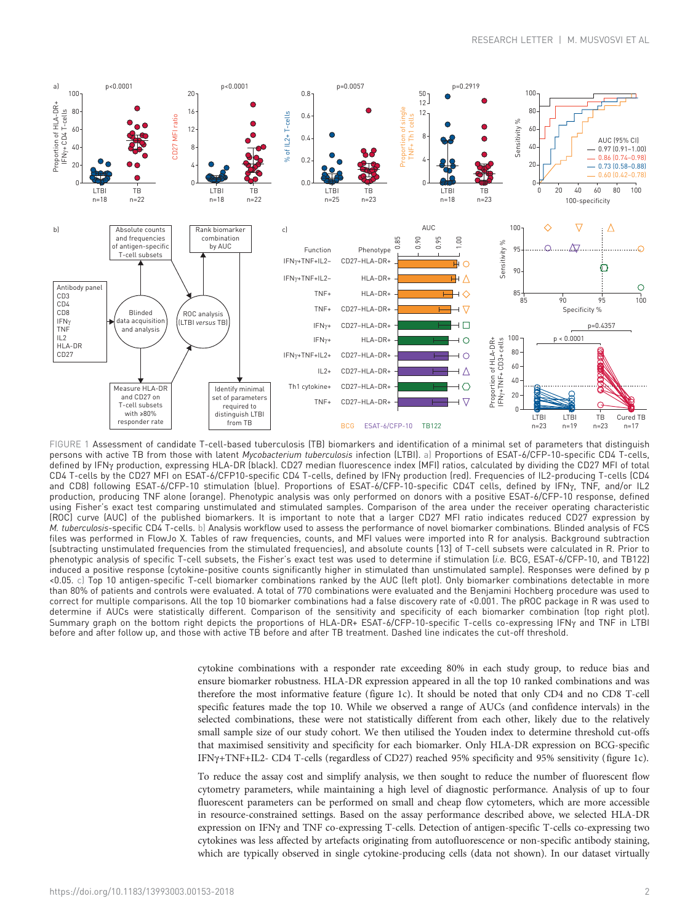<span id="page-1-0"></span>

FIGURE 1 Assessment of candidate T-cell-based tuberculosis (TB) biomarkers and identification of a minimal set of parameters that distinguish persons with active TB from those with latent Mycobacterium tuberculosis infection (LTBI). a) Proportions of ESAT-6/CFP-10-specific CD4 T-cells, defined by IFNγ production, expressing HLA-DR (black). CD27 median fluorescence index (MFI) ratios, calculated by dividing the CD27 MFI of total CD4 T-cells by the CD27 MFI on ESAT-6/CFP10-specific CD4 T-cells, defined by IFNγ production (red). Frequencies of IL2-producing T-cells (CD4 and CD8) following ESAT-6/CFP-10 stimulation (blue). Proportions of ESAT-6/CFP-10-specific CD4T cells, defined by IFNy, TNF, and/or IL2 production, producing TNF alone (orange). Phenotypic analysis was only performed on donors with a positive ESAT-6/CFP-10 response, defined using Fisher's exact test comparing unstimulated and stimulated samples. Comparison of the area under the receiver operating characteristic (ROC) curve (AUC) of the published biomarkers. It is important to note that a larger CD27 MFI ratio indicates reduced CD27 expression by M. tuberculosis-specific CD4 T-cells. b) Analysis workflow used to assess the performance of novel biomarker combinations. Blinded analysis of FCS files was performed in FlowJo X. Tables of raw frequencies, counts, and MFI values were imported into R for analysis. Background subtraction (subtracting unstimulated frequencies from the stimulated frequencies), and absolute counts [[13](#page-3-0)] of T-cell subsets were calculated in R. Prior to phenotypic analysis of specific T-cell subsets, the Fisher's exact test was used to determine if stimulation (i.e. BCG, ESAT-6/CFP-10, and TB122) induced a positive response (cytokine-positive counts significantly higher in stimulated than unstimulated sample). Responses were defined by p <0.05. c) Top 10 antigen-specific T-cell biomarker combinations ranked by the AUC (left plot). Only biomarker combinations detectable in more than 80% of patients and controls were evaluated. A total of 770 combinations were evaluated and the Benjamini Hochberg procedure was used to correct for multiple comparisons. All the top 10 biomarker combinations had a false discovery rate of <0.001. The pROC package in R was used to determine if AUCs were statistically different. Comparison of the sensitivity and specificity of each biomarker combination (top right plot). Summary graph on the bottom right depicts the proportions of HLA-DR+ ESAT-6/CFP-10-specific T-cells co-expressing IFNγ and TNF in LTBI before and after follow up, and those with active TB before and after TB treatment. Dashed line indicates the cut-off threshold.

cytokine combinations with a responder rate exceeding 80% in each study group, to reduce bias and ensure biomarker robustness. HLA-DR expression appeared in all the top 10 ranked combinations and was therefore the most informative feature (figure 1c). It should be noted that only CD4 and no CD8 T-cell specific features made the top 10. While we observed a range of AUCs (and confidence intervals) in the selected combinations, these were not statistically different from each other, likely due to the relatively small sample size of our study cohort. We then utilised the Youden index to determine threshold cut-offs that maximised sensitivity and specificity for each biomarker. Only HLA-DR expression on BCG-specific IFNγ+TNF+IL2- CD4 T-cells (regardless of CD27) reached 95% specificity and 95% sensitivity (figure 1c).

To reduce the assay cost and simplify analysis, we then sought to reduce the number of fluorescent flow cytometry parameters, while maintaining a high level of diagnostic performance. Analysis of up to four fluorescent parameters can be performed on small and cheap flow cytometers, which are more accessible in resource-constrained settings. Based on the assay performance described above, we selected HLA-DR expression on IFNγ and TNF co-expressing T-cells. Detection of antigen-specific T-cells co-expressing two cytokines was less affected by artefacts originating from autofluorescence or non-specific antibody staining, which are typically observed in single cytokine-producing cells (data not shown). In our dataset virtually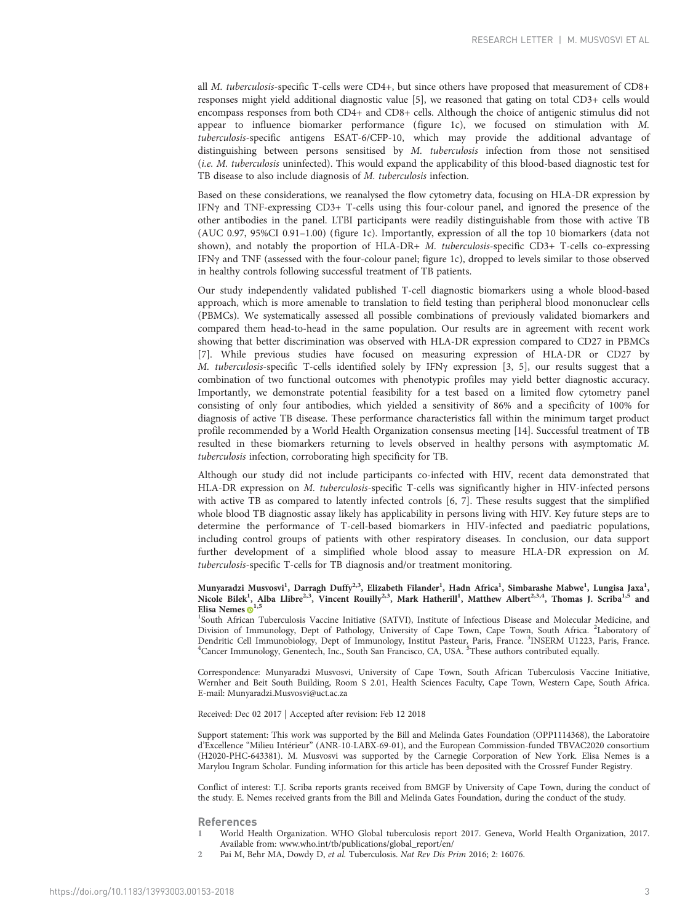<span id="page-2-0"></span>all M. tuberculosis-specific T-cells were CD4+, but since others have proposed that measurement of CD8+ responses might yield additional diagnostic value [\[5](#page-3-0)], we reasoned that gating on total CD3+ cells would encompass responses from both CD4+ and CD8+ cells. Although the choice of antigenic stimulus did not appear to influence biomarker performance [\(figure 1c](#page-1-0)), we focused on stimulation with M. tuberculosis-specific antigens ESAT-6/CFP-10, which may provide the additional advantage of distinguishing between persons sensitised by M. tuberculosis infection from those not sensitised (i.e. M. tuberculosis uninfected). This would expand the applicability of this blood-based diagnostic test for TB disease to also include diagnosis of M. tuberculosis infection.

Based on these considerations, we reanalysed the flow cytometry data, focusing on HLA-DR expression by IFNγ and TNF-expressing CD3+ T-cells using this four-colour panel, and ignored the presence of the other antibodies in the panel. LTBI participants were readily distinguishable from those with active TB (AUC 0.97, 95%CI 0.91–1.00) ([figure 1c](#page-1-0)). Importantly, expression of all the top 10 biomarkers (data not shown), and notably the proportion of HLA-DR+ M. tuberculosis-specific CD3+ T-cells co-expressing IFNγ and TNF (assessed with the four-colour panel; [figure 1c\)](#page-1-0), dropped to levels similar to those observed in healthy controls following successful treatment of TB patients.

Our study independently validated published T-cell diagnostic biomarkers using a whole blood-based approach, which is more amenable to translation to field testing than peripheral blood mononuclear cells (PBMCs). We systematically assessed all possible combinations of previously validated biomarkers and compared them head-to-head in the same population. Our results are in agreement with recent work showing that better discrimination was observed with HLA-DR expression compared to CD27 in PBMCs [\[7\]](#page-3-0). While previous studies have focused on measuring expression of HLA-DR or CD27 by M. tuberculosis-specific T-cells identified solely by IFNγ expression [\[3](#page-3-0), [5](#page-3-0)], our results suggest that a combination of two functional outcomes with phenotypic profiles may yield better diagnostic accuracy. Importantly, we demonstrate potential feasibility for a test based on a limited flow cytometry panel consisting of only four antibodies, which yielded a sensitivity of 86% and a specificity of 100% for diagnosis of active TB disease. These performance characteristics fall within the minimum target product profile recommended by a World Health Organization consensus meeting [[14](#page-3-0)]. Successful treatment of TB resulted in these biomarkers returning to levels observed in healthy persons with asymptomatic M. tuberculosis infection, corroborating high specificity for TB.

Although our study did not include participants co-infected with HIV, recent data demonstrated that HLA-DR expression on M. tuberculosis-specific T-cells was significantly higher in HIV-infected persons with active TB as compared to latently infected controls [[6, 7\]](#page-3-0). These results suggest that the simplified whole blood TB diagnostic assay likely has applicability in persons living with HIV. Key future steps are to determine the performance of T-cell-based biomarkers in HIV-infected and paediatric populations, including control groups of patients with other respiratory diseases. In conclusion, our data support further development of a simplified whole blood assay to measure HLA-DR expression on M. tuberculosis-specific T-cells for TB diagnosis and/or treatment monitoring.

### Munyaradzi Musvosvi<sup>1</sup>, Darragh Duffy<sup>2,3</sup>, Elizabeth Filander<sup>1</sup>, Hadn Africa<sup>1</sup>, Simbarashe Mabwe<sup>1</sup>, Lungisa Jaxa<sup>1</sup>, Nicole Bilek<sup>1</sup>, Alba Llibre<sup>2,3</sup>, Vincent Rouilly<sup>2,3</sup>, Mark Hatherill<sup>1</sup>, Matthew Albert<sup>2,3,4</sup>, Thomas J. Scriba<sup>1,5</sup> and Elisa Nemes  $\mathbf{D}^{1,5}$  $\mathbf{D}^{1,5}$  $\mathbf{D}^{1,5}$

<sup>1</sup>South African Tuberculosis Vaccine Initiative (SATVI), Institute of Infectious Disease and Molecular Medicine, and Division of Immunology, Dept of Pathology, University of Cape Town, Cape Town, South Africa. <sup>2</sup>Laboratory of Dendritic Cell Immunobiology, Dept of Immunology, Institut Pasteur, Paris, France. <sup>3</sup>INSERM U1223, Paris, France.<br><sup>4</sup>Cancer Immunology, Genentech, Inc., South San Francisco, CA, USA. <sup>5</sup>These authors contributed equally.

Correspondence: Munyaradzi Musvosvi, University of Cape Town, South African Tuberculosis Vaccine Initiative, Wernher and Beit South Building, Room S 2.01, Health Sciences Faculty, Cape Town, Western Cape, South Africa. E-mail: [Munyaradzi.Musvosvi@uct.ac.za](mailto:Munyaradzi.Musvosvi@uct.ac.za)

# Received: Dec 02 2017 | Accepted after revision: Feb 12 2018

Support statement: This work was supported by the Bill and Melinda Gates Foundation (OPP1114368), the Laboratoire d'Excellence "Milieu Intérieur" (ANR-10-LABX-69-01), and the European Commission-funded TBVAC2020 consortium (H2020-PHC-643381). M. Musvosvi was supported by the Carnegie Corporation of New York. Elisa Nemes is a Marylou Ingram Scholar. Funding information for this article has been deposited with the Crossref Funder Registry.

Conflict of interest: T.J. Scriba reports grants received from BMGF by University of Cape Town, during the conduct of the study. E. Nemes received grants from the Bill and Melinda Gates Foundation, during the conduct of the study.

### References

- 1 World Health Organization. WHO Global tuberculosis report 2017. Geneva, World Health Organization, 2017. Available from: [www.who.int/tb/publications/global\\_report/en/](http://www.who.int/tb/publications/global_report/en/)
- 2 Pai M, Behr MA, Dowdy D, et al. Tuberculosis. Nat Rev Dis Prim 2016; 2: 16076.